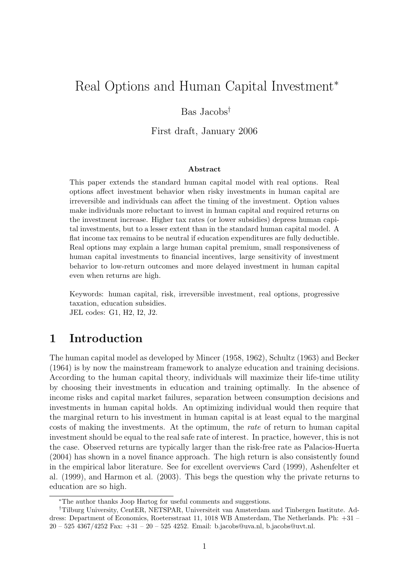# Real Options and Human Capital Investment<sup>∗</sup>

## Bas Jacobs†

First draft, January 2006

#### Abstract

This paper extends the standard human capital model with real options. Real options affect investment behavior when risky investments in human capital are irreversible and individuals can affect the timing of the investment. Option values make individuals more reluctant to invest in human capital and required returns on the investment increase. Higher tax rates (or lower subsidies) depress human capital investments, but to a lesser extent than in the standard human capital model. A flat income tax remains to be neutral if education expenditures are fully deductible. Real options may explain a large human capital premium, small responsiveness of human capital investments to financial incentives, large sensitivity of investment behavior to low-return outcomes and more delayed investment in human capital even when returns are high.

Keywords: human capital, risk, irreversible investment, real options, progressive taxation, education subsidies. JEL codes: G1, H2, I2, J2.

# 1 Introduction

The human capital model as developed by Mincer (1958, 1962), Schultz (1963) and Becker (1964) is by now the mainstream framework to analyze education and training decisions. According to the human capital theory, individuals will maximize their life-time utility by choosing their investments in education and training optimally. In the absence of income risks and capital market failures, separation between consumption decisions and investments in human capital holds. An optimizing individual would then require that the marginal return to his investment in human capital is at least equal to the marginal costs of making the investments. At the optimum, the rate of return to human capital investment should be equal to the real safe rate of interest. In practice, however, this is not the case. Observed returns are typically larger than the risk-free rate as Palacios-Huerta (2004) has shown in a novel finance approach. The high return is also consistently found in the empirical labor literature. See for excellent overviews Card (1999), Ashenfelter et al. (1999), and Harmon et al. (2003). This begs the question why the private returns to education are so high.

<sup>∗</sup>The author thanks Joop Hartog for useful comments and suggestions.

<sup>†</sup>Tilburg University, CentER, NETSPAR, Universiteit van Amsterdam and Tinbergen Institute. Address: Department of Economics, Roetersstraat 11, 1018 WB Amsterdam, The Netherlands. Ph: +31 – 20 – 525 4367/4252 Fax: +31 – 20 – 525 4252. Email: b.jacobs@uva.nl, b.jacobs@uvt.nl.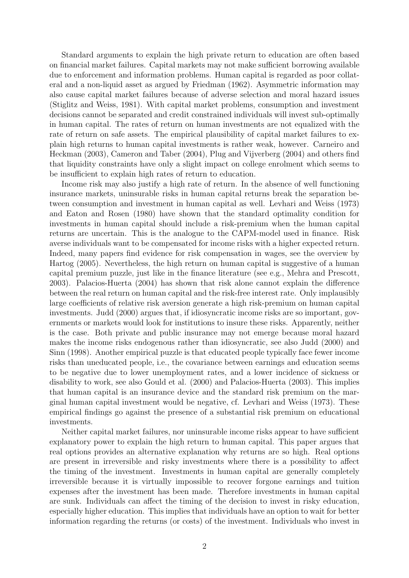Standard arguments to explain the high private return to education are often based on financial market failures. Capital markets may not make sufficient borrowing available due to enforcement and information problems. Human capital is regarded as poor collateral and a non-liquid asset as argued by Friedman (1962). Asymmetric information may also cause capital market failures because of adverse selection and moral hazard issues (Stiglitz and Weiss, 1981). With capital market problems, consumption and investment decisions cannot be separated and credit constrained individuals will invest sub-optimally in human capital. The rates of return on human investments are not equalized with the rate of return on safe assets. The empirical plausibility of capital market failures to explain high returns to human capital investments is rather weak, however. Carneiro and Heckman (2003), Cameron and Taber (2004), Plug and Vijverberg (2004) and others find that liquidity constraints have only a slight impact on college enrolment which seems to be insufficient to explain high rates of return to education.

Income risk may also justify a high rate of return. In the absence of well functioning insurance markets, uninsurable risks in human capital returns break the separation between consumption and investment in human capital as well. Levhari and Weiss (1973) and Eaton and Rosen (1980) have shown that the standard optimality condition for investments in human capital should include a risk-premium when the human capital returns are uncertain. This is the analogue to the CAPM-model used in finance. Risk averse individuals want to be compensated for income risks with a higher expected return. Indeed, many papers find evidence for risk compensation in wages, see the overview by Hartog (2005). Nevertheless, the high return on human capital is suggestive of a human capital premium puzzle, just like in the finance literature (see e.g., Mehra and Prescott, 2003). Palacios-Huerta (2004) has shown that risk alone cannot explain the difference between the real return on human capital and the risk-free interest rate. Only implausibly large coefficients of relative risk aversion generate a high risk-premium on human capital investments. Judd (2000) argues that, if idiosyncratic income risks are so important, governments or markets would look for institutions to insure these risks. Apparently, neither is the case. Both private and public insurance may not emerge because moral hazard makes the income risks endogenous rather than idiosyncratic, see also Judd (2000) and Sinn (1998). Another empirical puzzle is that educated people typically face fewer income risks than uneducated people, i.e., the covariance between earnings and education seems to be negative due to lower unemployment rates, and a lower incidence of sickness or disability to work, see also Gould et al. (2000) and Palacios-Huerta (2003). This implies that human capital is an insurance device and the standard risk premium on the marginal human capital investment would be negative, cf. Levhari and Weiss (1973). These empirical findings go against the presence of a substantial risk premium on educational investments.

Neither capital market failures, nor uninsurable income risks appear to have sufficient explanatory power to explain the high return to human capital. This paper argues that real options provides an alternative explanation why returns are so high. Real options are present in irreversible and risky investments where there is a possibility to affect the timing of the investment. Investments in human capital are generally completely irreversible because it is virtually impossible to recover forgone earnings and tuition expenses after the investment has been made. Therefore investments in human capital are sunk. Individuals can affect the timing of the decision to invest in risky education, especially higher education. This implies that individuals have an option to wait for better information regarding the returns (or costs) of the investment. Individuals who invest in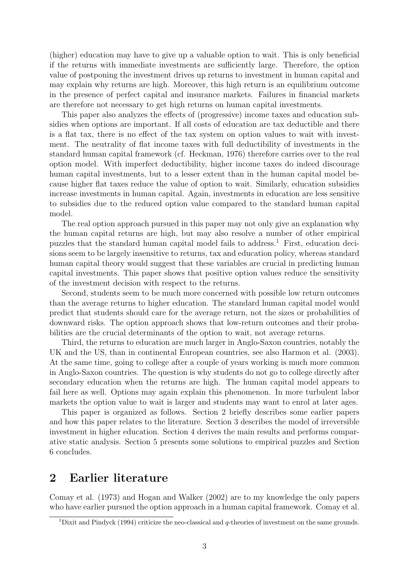(higher) education may have to give up a valuable option to wait. This is only beneficial if the returns with immediate investments are sufficiently large. Therefore, the option value of postponing the investment drives up returns to investment in human capital and may explain why returns are high. Moreover, this high return is an equilibrium outcome in the presence of perfect capital and insurance markets. Failures in financial markets are therefore not necessary to get high returns on human capital investments.

This paper also analyzes the effects of (progressive) income taxes and education subsidies when options are important. If all costs of education are tax deductible and there is a flat tax, there is no effect of the tax system on option values to wait with investment. The neutrality of flat income taxes with full deductibility of investments in the standard human capital framework (cf. Heckman, 1976) therefore carries over to the real option model. With imperfect deductibility, higher income taxes do indeed discourage human capital investments, but to a lesser extent than in the human capital model because higher flat taxes reduce the value of option to wait. Similarly, education subsidies increase investments in human capital. Again, investments in education are less sensitive to subsidies due to the reduced option value compared to the standard human capital model.

The real option approach pursued in this paper may not only give an explanation why the human capital returns are high, but may also resolve a number of other empirical puzzles that the standard human capital model fails to address.<sup>1</sup> First, education decisions seem to be largely insensitive to returns, tax and education policy, whereas standard human capital theory would suggest that these variables are crucial in predicting human capital investments. This paper shows that positive option values reduce the sensitivity of the investment decision with respect to the returns.

Second, students seem to be much more concerned with possible low return outcomes than the average returns to higher education. The standard human capital model would predict that students should care for the average return, not the sizes or probabilities of downward risks. The option approach shows that low-return outcomes and their probabilities are the crucial determinants of the option to wait, not average returns.

Third, the returns to education are much larger in Anglo-Saxon countries, notably the UK and the US, than in continental European countries, see also Harmon et al. (2003). At the same time, going to college after a couple of years working is much more common in Anglo-Saxon countries. The question is why students do not go to college directly after secondary education when the returns are high. The human capital model appears to fail here as well. Options may again explain this phenomenon. In more turbulent labor markets the option value to wait is larger and students may want to enrol at later ages.

This paper is organized as follows. Section 2 briefly describes some earlier papers and how this paper relates to the literature. Section 3 describes the model of irreversible investment in higher education. Section 4 derives the main results and performs comparative static analysis. Section 5 presents some solutions to empirical puzzles and Section 6 concludes.

# 2 Earlier literature

Comay et al. (1973) and Hogan and Walker (2002) are to my knowledge the only papers who have earlier pursued the option approach in a human capital framework. Comay et al.

<sup>&</sup>lt;sup>1</sup>Dixit and Pindyck (1994) criticize the neo-classical and  $q$ -theories of investment on the same grounds.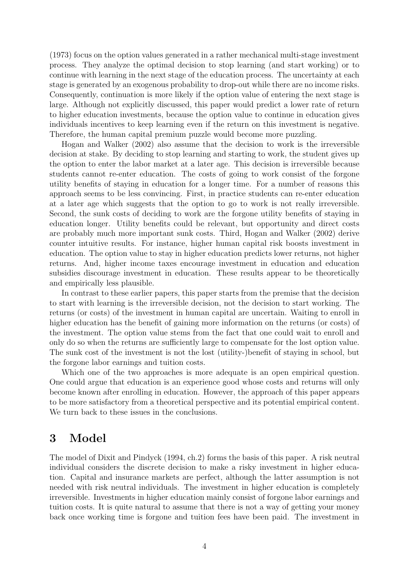(1973) focus on the option values generated in a rather mechanical multi-stage investment process. They analyze the optimal decision to stop learning (and start working) or to continue with learning in the next stage of the education process. The uncertainty at each stage is generated by an exogenous probability to drop-out while there are no income risks. Consequently, continuation is more likely if the option value of entering the next stage is large. Although not explicitly discussed, this paper would predict a lower rate of return to higher education investments, because the option value to continue in education gives individuals incentives to keep learning even if the return on this investment is negative. Therefore, the human capital premium puzzle would become more puzzling.

Hogan and Walker (2002) also assume that the decision to work is the irreversible decision at stake. By deciding to stop learning and starting to work, the student gives up the option to enter the labor market at a later age. This decision is irreversible because students cannot re-enter education. The costs of going to work consist of the forgone utility benefits of staying in education for a longer time. For a number of reasons this approach seems to be less convincing. First, in practice students can re-enter education at a later age which suggests that the option to go to work is not really irreversible. Second, the sunk costs of deciding to work are the forgone utility benefits of staying in education longer. Utility benefits could be relevant, but opportunity and direct costs are probably much more important sunk costs. Third, Hogan and Walker (2002) derive counter intuitive results. For instance, higher human capital risk boosts investment in education. The option value to stay in higher education predicts lower returns, not higher returns. And, higher income taxes encourage investment in education and education subsidies discourage investment in education. These results appear to be theoretically and empirically less plausible.

In contrast to these earlier papers, this paper starts from the premise that the decision to start with learning is the irreversible decision, not the decision to start working. The returns (or costs) of the investment in human capital are uncertain. Waiting to enroll in higher education has the benefit of gaining more information on the returns (or costs) of the investment. The option value stems from the fact that one could wait to enroll and only do so when the returns are sufficiently large to compensate for the lost option value. The sunk cost of the investment is not the lost (utility-)benefit of staying in school, but the forgone labor earnings and tuition costs.

Which one of the two approaches is more adequate is an open empirical question. One could argue that education is an experience good whose costs and returns will only become known after enrolling in education. However, the approach of this paper appears to be more satisfactory from a theoretical perspective and its potential empirical content. We turn back to these issues in the conclusions.

# 3 Model

The model of Dixit and Pindyck (1994, ch.2) forms the basis of this paper. A risk neutral individual considers the discrete decision to make a risky investment in higher education. Capital and insurance markets are perfect, although the latter assumption is not needed with risk neutral individuals. The investment in higher education is completely irreversible. Investments in higher education mainly consist of forgone labor earnings and tuition costs. It is quite natural to assume that there is not a way of getting your money back once working time is forgone and tuition fees have been paid. The investment in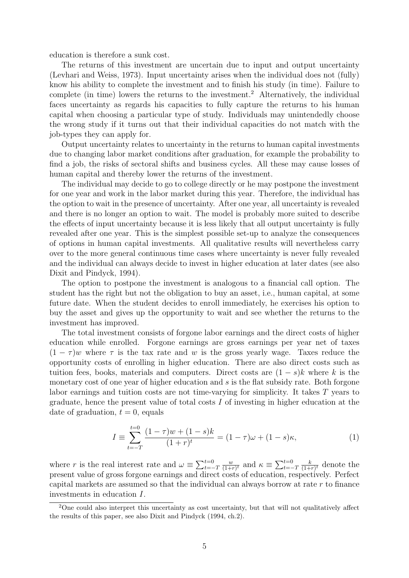education is therefore a sunk cost.

The returns of this investment are uncertain due to input and output uncertainty (Levhari and Weiss, 1973). Input uncertainty arises when the individual does not (fully) know his ability to complete the investment and to finish his study (in time). Failure to complete (in time) lowers the returns to the investment.<sup>2</sup> Alternatively, the individual faces uncertainty as regards his capacities to fully capture the returns to his human capital when choosing a particular type of study. Individuals may unintendedly choose the wrong study if it turns out that their individual capacities do not match with the job-types they can apply for.

Output uncertainty relates to uncertainty in the returns to human capital investments due to changing labor market conditions after graduation, for example the probability to find a job, the risks of sectoral shifts and business cycles. All these may cause losses of human capital and thereby lower the returns of the investment.

The individual may decide to go to college directly or he may postpone the investment for one year and work in the labor market during this year. Therefore, the individual has the option to wait in the presence of uncertainty. After one year, all uncertainty is revealed and there is no longer an option to wait. The model is probably more suited to describe the effects of input uncertainty because it is less likely that all output uncertainty is fully revealed after one year. This is the simplest possible set-up to analyze the consequences of options in human capital investments. All qualitative results will nevertheless carry over to the more general continuous time cases where uncertainty is never fully revealed and the individual can always decide to invest in higher education at later dates (see also Dixit and Pindyck, 1994).

The option to postpone the investment is analogous to a financial call option. The student has the right but not the obligation to buy an asset, i.e., human capital, at some future date. When the student decides to enroll immediately, he exercises his option to buy the asset and gives up the opportunity to wait and see whether the returns to the investment has improved.

The total investment consists of forgone labor earnings and the direct costs of higher education while enrolled. Forgone earnings are gross earnings per year net of taxes  $(1 - \tau)w$  where  $\tau$  is the tax rate and w is the gross yearly wage. Taxes reduce the opportunity costs of enrolling in higher education. There are also direct costs such as tuition fees, books, materials and computers. Direct costs are  $(1-s)k$  where k is the monetary cost of one year of higher education and s is the flat subsidy rate. Both forgone labor earnings and tuition costs are not time-varying for simplicity. It takes T years to graduate, hence the present value of total costs I of investing in higher education at the date of graduation,  $t = 0$ , equals

$$
I \equiv \sum_{t=-T}^{t=0} \frac{(1-\tau)w + (1-s)k}{(1+r)^t} = (1-\tau)\omega + (1-s)\kappa,
$$
 (1)

where r is the real interest rate and  $\omega \equiv \sum_{t=-T}^{t=0}$ w  $\frac{w}{(1+r)^t}$  and  $\kappa \equiv \sum_{t=-T}^{t=0}$ k  $\frac{k}{(1+r)^t}$  denote the present value of gross forgone earnings and direct costs of education, respectively. Perfect capital markets are assumed so that the individual can always borrow at rate r to finance investments in education I.

<sup>2</sup>One could also interpret this uncertainty as cost uncertainty, but that will not qualitatively affect the results of this paper, see also Dixit and Pindyck (1994, ch.2).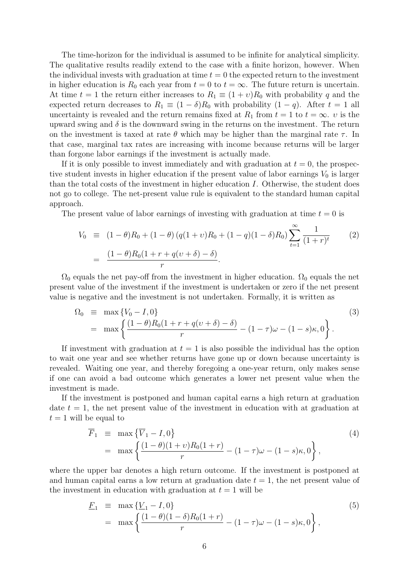The time-horizon for the individual is assumed to be infinite for analytical simplicity. The qualitative results readily extend to the case with a finite horizon, however. When the individual invests with graduation at time  $t = 0$  the expected return to the investment in higher education is  $R_0$  each year from  $t = 0$  to  $t = \infty$ . The future return is uncertain. At time  $t = 1$  the return either increases to  $R_1 \equiv (1 + v)R_0$  with probability q and the expected return decreases to  $R_1 \equiv (1 - \delta)R_0$  with probability  $(1 - q)$ . After  $t = 1$  all uncertainty is revealed and the return remains fixed at  $R_1$  from  $t = 1$  to  $t = \infty$ . v is the upward swing and  $\delta$  is the downward swing in the returns on the investment. The return on the investment is taxed at rate  $\theta$  which may be higher than the marginal rate  $\tau$ . In that case, marginal tax rates are increasing with income because returns will be larger than forgone labor earnings if the investment is actually made.

If it is only possible to invest immediately and with graduation at  $t = 0$ , the prospective student invests in higher education if the present value of labor earnings  $V_0$  is larger than the total costs of the investment in higher education I. Otherwise, the student does not go to college. The net-present value rule is equivalent to the standard human capital approach.

The present value of labor earnings of investing with graduation at time  $t = 0$  is

$$
V_0 \equiv (1 - \theta)R_0 + (1 - \theta)(q(1 + v)R_0 + (1 - q)(1 - \delta)R_0) \sum_{t=1}^{\infty} \frac{1}{(1 + r)^t}
$$
(2)  
= 
$$
\frac{(1 - \theta)R_0(1 + r + q(v + \delta) - \delta)}{r}.
$$

 $\Omega_0$  equals the net pay-off from the investment in higher education.  $\Omega_0$  equals the net present value of the investment if the investment is undertaken or zero if the net present value is negative and the investment is not undertaken. Formally, it is written as

$$
\Omega_0 \equiv \max \{ V_0 - I, 0 \} \tag{3}
$$
\n
$$
= \max \left\{ \frac{(1 - \theta)R_0(1 + r + q(v + \delta) - \delta)}{r} - (1 - \tau)\omega - (1 - s)\kappa, 0 \right\}.
$$

If investment with graduation at  $t = 1$  is also possible the individual has the option to wait one year and see whether returns have gone up or down because uncertainty is revealed. Waiting one year, and thereby foregoing a one-year return, only makes sense if one can avoid a bad outcome which generates a lower net present value when the investment is made.

If the investment is postponed and human capital earns a high return at graduation date  $t = 1$ , the net present value of the investment in education with at graduation at  $t = 1$  will be equal to

$$
\overline{F}_1 \equiv \max \{ \overline{V}_1 - I, 0 \}
$$
\n
$$
= \max \left\{ \frac{(1 - \theta)(1 + \nu)R_0(1 + r)}{r} - (1 - \tau)\omega - (1 - s)\kappa, 0 \right\},
$$
\n(4)

where the upper bar denotes a high return outcome. If the investment is postponed at and human capital earns a low return at graduation date  $t = 1$ , the net present value of the investment in education with graduation at  $t = 1$  will be

$$
\underline{F}_1 \equiv \max \{ \underline{V}_1 - I, 0 \} \n= \max \left\{ \frac{(1 - \theta)(1 - \delta)R_0(1 + r)}{r} - (1 - \tau)\omega - (1 - s)\kappa, 0 \right\},
$$
\n(5)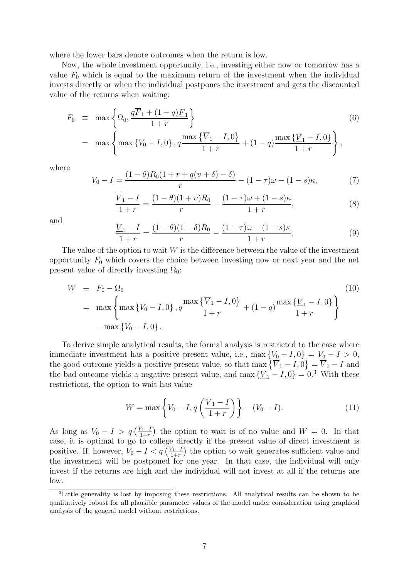where the lower bars denote outcomes when the return is low.

Now, the whole investment opportunity, i.e., investing either now or tomorrow has a value  $F_0$  which is equal to the maximum return of the investment when the individual invests directly or when the individual postpones the investment and gets the discounted value of the returns when waiting:

$$
F_0 \equiv \max \left\{ \Omega_0, \frac{q\overline{F}_1 + (1-q)\underline{F}_1}{1+r} \right\}
$$
(6)  

$$
= \max \left\{ \max \left\{ V_0 - I, 0 \right\}, q \frac{\max \left\{ \overline{V}_1 - I, 0 \right\}}{1+r} + (1-q) \frac{\max \left\{ \underline{V}_1 - I, 0 \right\}}{1+r} \right\},
$$

where

$$
V_0 - I = \frac{(1 - \theta)R_0(1 + r + q(v + \delta) - \delta)}{r} - (1 - \tau)\omega - (1 - s)\kappa,
$$
 (7)

$$
\frac{\overline{V}_1 - I}{1+r} = \frac{(1-\theta)(1+v)R_0}{r} - \frac{(1-\tau)\omega + (1-s)\kappa}{1+r},\tag{8}
$$

and

$$
\frac{V_1 - I}{1 + r} = \frac{(1 - \theta)(1 - \delta)R_0}{r} - \frac{(1 - \tau)\omega + (1 - s)\kappa}{1 + r}.
$$
\n(9)

The value of the option to wait  $W$  is the difference between the value of the investment opportunity  $F_0$  which covers the choice between investing now or next year and the net present value of directly investing  $\Omega_0$ :

$$
W \equiv F_0 - \Omega_0
$$
  
=  $\max \left\{ \max \{ V_0 - I, 0 \}, q \frac{\max \{ \overline{V}_1 - I, 0 \}}{1 + r} + (1 - q) \frac{\max \{ \underline{V}_1 - I, 0 \}}{1 + r} \right\}$  (10)  
-  $\max \{ V_0 - I, 0 \}.$ 

To derive simple analytical results, the formal analysis is restricted to the case where immediate investment has a positive present value, i.e., max  ${V_0 - I, 0} = V_0 - I > 0$ , the good outcome yields a positive present value, so that max  $\{\overline{V}_1 - I, 0\} = \overline{V}_1 - I$  and the bad outcome yields a negative present value, and max  $\{\underline{V}_1 - I, 0\} = 0.3$  With these restrictions, the option to wait has value

$$
W = \max\left\{V_0 - I, q\left(\frac{\overline{V}_1 - I}{1 + r}\right)\right\} - (V_0 - I). \tag{11}
$$

As long as  $V_0 - I > q \left(\frac{V_1 - I}{1 + r}\right)$  $\frac{V_1-I}{1+r}$  the option to wait is of no value and  $W=0$ . In that case, it is optimal to go to college directly if the present value of direct investment is positive. If, however,  $V_0 - I < q \left( \frac{V_1 - I}{1 + r} \right)$  $\frac{\sqrt{1-1}}{1+r}$  the option to wait generates sufficient value and the investment will be postponed for one year. In that case, the individual will only invest if the returns are high and the individual will not invest at all if the returns are low.

<sup>3</sup>Little generality is lost by imposing these restrictions. All analytical results can be shown to be qualitatively robust for all plausible parameter values of the model under consideration using graphical analysis of the general model without restrictions.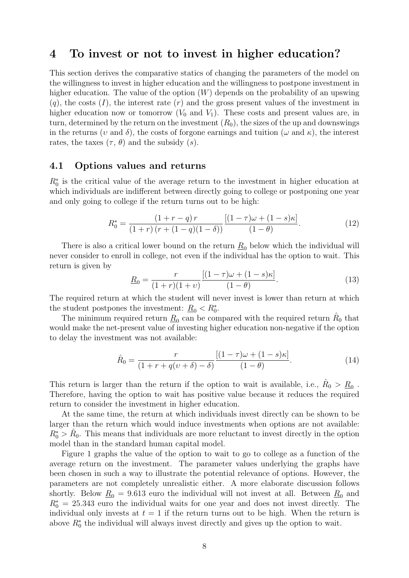# 4 To invest or not to invest in higher education?

This section derives the comparative statics of changing the parameters of the model on the willingness to invest in higher education and the willingness to postpone investment in higher education. The value of the option  $(W)$  depends on the probability of an upswing  $(q)$ , the costs  $(I)$ , the interest rate  $(r)$  and the gross present values of the investment in higher education now or tomorrow  $(V_0$  and  $V_1)$ . These costs and present values are, in turn, determined by the return on the investment  $(R_0)$ , the sizes of the up and downswings in the returns (*v* and  $\delta$ ), the costs of forgone earnings and tuition ( $\omega$  and  $\kappa$ ), the interest rates, the taxes  $(\tau, \theta)$  and the subsidy  $(s)$ .

### 4.1 Options values and returns

 $R_0^*$  is the critical value of the average return to the investment in higher education at which individuals are indifferent between directly going to college or postponing one year and only going to college if the return turns out to be high:

$$
R_0^* = \frac{(1+r-q)r}{(1+r)(r+(1-q)(1-\delta))} \frac{[(1-\tau)\omega+(1-s)\kappa]}{(1-\theta)}.
$$
 (12)

There is also a critical lower bound on the return  $\underline{R}_0$  below which the individual will never consider to enroll in college, not even if the individual has the option to wait. This return is given by

$$
\underline{R}_0 = \frac{r}{(1+r)(1+v)} \frac{[(1-\tau)\omega + (1-s)\kappa]}{(1-\theta)}.\tag{13}
$$

The required return at which the student will never invest is lower than return at which the student postpones the investment:  $\underline{R}_0 < R_0^*$ .

The minimum required return  $\underline{R}_0$  can be compared with the required return  $\hat{R}_0$  that would make the net-present value of investing higher education non-negative if the option to delay the investment was not available:

$$
\hat{R}_0 = \frac{r}{(1+r+q(v+\delta)-\delta)} \frac{[(1-\tau)\omega+(1-s)\kappa]}{(1-\theta)}.
$$
\n(14)

This return is larger than the return if the option to wait is available, i.e.,  $\hat{R}_0 > \underline{R}_0$ . Therefore, having the option to wait has positive value because it reduces the required return to consider the investment in higher education.

At the same time, the return at which individuals invest directly can be shown to be larger than the return which would induce investments when options are not available:  $R_0^* > \hat{R}_0$ . This means that individuals are more reluctant to invest directly in the option model than in the standard human capital model.

Figure 1 graphs the value of the option to wait to go to college as a function of the average return on the investment. The parameter values underlying the graphs have been chosen in such a way to illustrate the potential relevance of options. However, the parameters are not completely unrealistic either. A more elaborate discussion follows shortly. Below  $\underline{R}_0 = 9.613$  euro the individual will not invest at all. Between  $\underline{R}_0$  and  $R_0^* = 25.343$  euro the individual waits for one year and does not invest directly. The individual only invests at  $t = 1$  if the return turns out to be high. When the return is above  $R_0^*$  the individual will always invest directly and gives up the option to wait.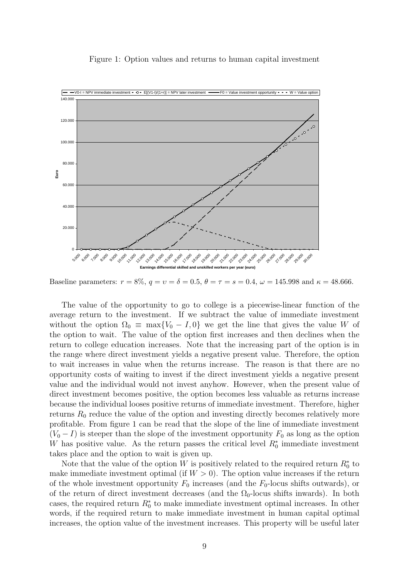#### Figure 1: Option values and returns to human capital investment



Baseline parameters:  $r = 8\%$ ,  $q = v = \delta = 0.5$ ,  $\theta = \tau = s = 0.4$ ,  $\omega = 145.998$  and  $\kappa = 48.666$ .

The value of the opportunity to go to college is a piecewise-linear function of the average return to the investment. If we subtract the value of immediate investment without the option  $\Omega_0 \equiv \max\{V_0 - I, 0\}$  we get the line that gives the value W of the option to wait. The value of the option first increases and then declines when the return to college education increases. Note that the increasing part of the option is in the range where direct investment yields a negative present value. Therefore, the option to wait increases in value when the returns increase. The reason is that there are no opportunity costs of waiting to invest if the direct investment yields a negative present value and the individual would not invest anyhow. However, when the present value of direct investment becomes positive, the option becomes less valuable as returns increase because the individual looses positive returns of immediate investment. Therefore, higher returns  $R_0$  reduce the value of the option and investing directly becomes relatively more profitable. From figure 1 can be read that the slope of the line of immediate investment  $(V_0 - I)$  is steeper than the slope of the investment opportunity  $F_0$  as long as the option W has positive value. As the return passes the critical level  $R_0^*$  immediate investment takes place and the option to wait is given up.

Note that the value of the option W is positively related to the required return  $R_0^*$  to make immediate investment optimal (if  $W > 0$ ). The option value increases if the return of the whole investment opportunity  $F_0$  increases (and the  $F_0$ -locus shifts outwards), or of the return of direct investment decreases (and the  $\Omega_0$ -locus shifts inwards). In both cases, the required return  $R_0^*$  to make immediate investment optimal increases. In other words, if the required return to make immediate investment in human capital optimal increases, the option value of the investment increases. This property will be useful later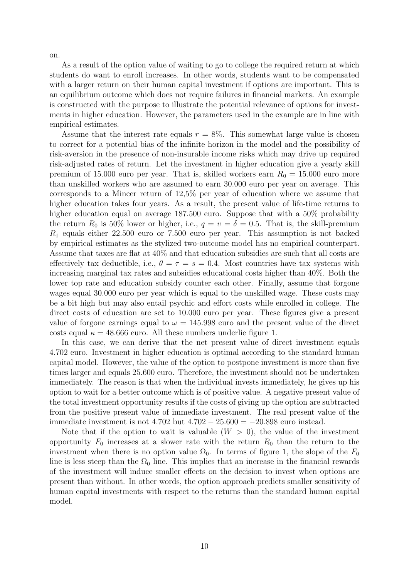on.

As a result of the option value of waiting to go to college the required return at which students do want to enroll increases. In other words, students want to be compensated with a larger return on their human capital investment if options are important. This is an equilibrium outcome which does not require failures in financial markets. An example is constructed with the purpose to illustrate the potential relevance of options for investments in higher education. However, the parameters used in the example are in line with empirical estimates.

Assume that the interest rate equals  $r = 8\%$ . This somewhat large value is chosen to correct for a potential bias of the infinite horizon in the model and the possibility of risk-aversion in the presence of non-insurable income risks which may drive up required risk-adjusted rates of return. Let the investment in higher education give a yearly skill premium of 15.000 euro per year. That is, skilled workers earn  $R_0 = 15.000$  euro more than unskilled workers who are assumed to earn 30.000 euro per year on average. This corresponds to a Mincer return of 12,5% per year of education where we assume that higher education takes four years. As a result, the present value of life-time returns to higher education equal on average 187.500 euro. Suppose that with a 50% probability the return  $R_0$  is 50% lower or higher, i.e.,  $q = v = \delta = 0.5$ . That is, the skill-premium  $R_1$  equals either 22.500 euro or 7.500 euro per year. This assumption is not backed by empirical estimates as the stylized two-outcome model has no empirical counterpart. Assume that taxes are flat at 40% and that education subsidies are such that all costs are effectively tax deductible, i.e.,  $\theta = \tau = s = 0.4$ . Most countries have tax systems with increasing marginal tax rates and subsidies educational costs higher than 40%. Both the lower top rate and education subsidy counter each other. Finally, assume that forgone wages equal 30.000 euro per year which is equal to the unskilled wage. These costs may be a bit high but may also entail psychic and effort costs while enrolled in college. The direct costs of education are set to 10.000 euro per year. These figures give a present value of forgone earnings equal to  $\omega = 145.998$  euro and the present value of the direct costs equal  $\kappa = 48.666$  euro. All these numbers underlie figure 1.

In this case, we can derive that the net present value of direct investment equals 4.702 euro. Investment in higher education is optimal according to the standard human capital model. However, the value of the option to postpone investment is more than five times larger and equals 25.600 euro. Therefore, the investment should not be undertaken immediately. The reason is that when the individual invests immediately, he gives up his option to wait for a better outcome which is of positive value. A negative present value of the total investment opportunity results if the costs of giving up the option are subtracted from the positive present value of immediate investment. The real present value of the immediate investment is not  $4.702$  but  $4.702 - 25.600 = -20.898$  euro instead.

Note that if the option to wait is valuable  $(W > 0)$ , the value of the investment opportunity  $F_0$  increases at a slower rate with the return  $R_0$  than the return to the investment when there is no option value  $\Omega_0$ . In terms of figure 1, the slope of the  $F_0$ line is less steep than the  $\Omega_0$  line. This implies that an increase in the financial rewards of the investment will induce smaller effects on the decision to invest when options are present than without. In other words, the option approach predicts smaller sensitivity of human capital investments with respect to the returns than the standard human capital model.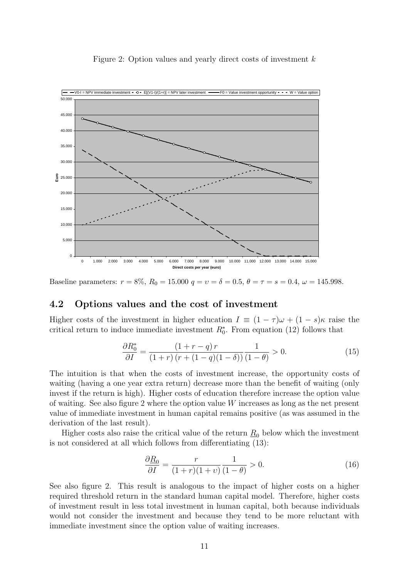#### Figure 2: Option values and yearly direct costs of investment k



Baseline parameters:  $r = 8\%, R_0 = 15.000 \, q = v = \delta = 0.5, \theta = \tau = s = 0.4, \omega = 145.998$ .

### 4.2 Options values and the cost of investment

Higher costs of the investment in higher education  $I = (1 - \tau)\omega + (1 - s)\kappa$  raise the critical return to induce immediate investment  $R_0^*$ . From equation (12) follows that

$$
\frac{\partial R_0^*}{\partial I} = \frac{(1+r-q)r}{(1+r)(r+(1-q)(1-\delta))} \frac{1}{(1-\theta)} > 0.
$$
 (15)

The intuition is that when the costs of investment increase, the opportunity costs of waiting (having a one year extra return) decrease more than the benefit of waiting (only invest if the return is high). Higher costs of education therefore increase the option value of waiting. See also figure 2 where the option value W increases as long as the net present value of immediate investment in human capital remains positive (as was assumed in the derivation of the last result).

Higher costs also raise the critical value of the return  $R_0$  below which the investment is not considered at all which follows from differentiating (13):

$$
\frac{\partial \underline{R}_0}{\partial I} = \frac{r}{(1+r)(1+v)} \frac{1}{(1-\theta)} > 0. \tag{16}
$$

See also figure 2. This result is analogous to the impact of higher costs on a higher required threshold return in the standard human capital model. Therefore, higher costs of investment result in less total investment in human capital, both because individuals would not consider the investment and because they tend to be more reluctant with immediate investment since the option value of waiting increases.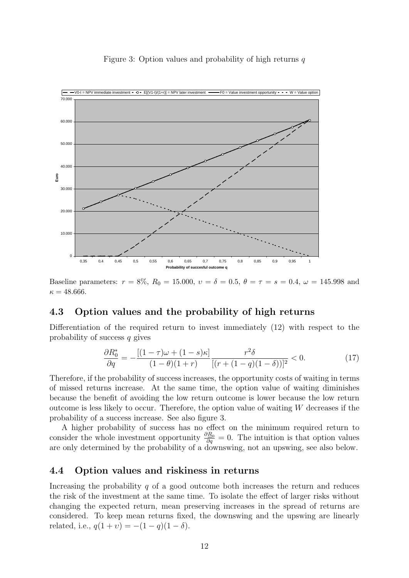#### Figure 3: Option values and probability of high returns  $q$



Baseline parameters:  $r = 8\%, R_0 = 15.000, v = \delta = 0.5, \theta = \tau = s = 0.4, \omega = 145.998$  and  $\kappa = 48.666.$ 

### 4.3 Option values and the probability of high returns

Differentiation of the required return to invest immediately (12) with respect to the probability of success q gives

$$
\frac{\partial R_0^*}{\partial q} = -\frac{[(1-\tau)\omega + (1-s)\kappa]}{(1-\theta)(1+r)} \frac{r^2 \delta}{[(r+(1-q)(1-\delta))]^2} < 0.
$$
 (17)

Therefore, if the probability of success increases, the opportunity costs of waiting in terms of missed returns increase. At the same time, the option value of waiting diminishes because the benefit of avoiding the low return outcome is lower because the low return outcome is less likely to occur. Therefore, the option value of waiting  $W$  decreases if the probability of a success increase. See also figure 3.

A higher probability of success has no effect on the minimum required return to consider the whole investment opportunity  $\frac{\partial R_0}{\partial q} = 0$ . The intuition is that option values are only determined by the probability of a downswing, not an upswing, see also below.

### 4.4 Option values and riskiness in returns

Increasing the probability  $q$  of a good outcome both increases the return and reduces the risk of the investment at the same time. To isolate the effect of larger risks without changing the expected return, mean preserving increases in the spread of returns are considered. To keep mean returns fixed, the downswing and the upswing are linearly related, i.e.,  $q(1 + v) = -(1 - q)(1 - \delta)$ .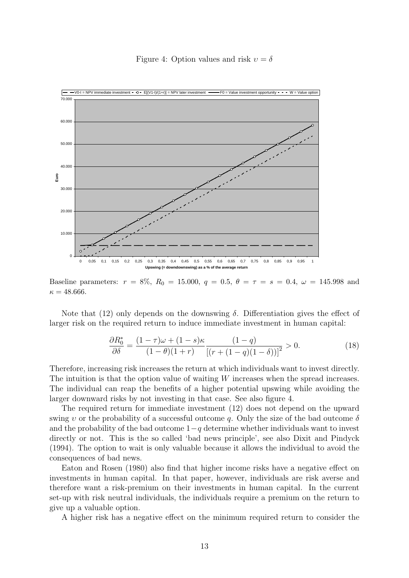Figure 4: Option values and risk  $v = \delta$ 



Baseline parameters:  $r = 8\%, R_0 = 15.000, q = 0.5, \theta = \tau = s = 0.4, \omega = 145.998$  and  $\kappa = 48.666.$ 

Note that (12) only depends on the downswing  $\delta$ . Differentiation gives the effect of larger risk on the required return to induce immediate investment in human capital:

$$
\frac{\partial R_0^*}{\partial \delta} = \frac{(1-\tau)\omega + (1-s)\kappa}{(1-\theta)(1+r)} \frac{(1-q)}{[(r+(1-q)(1-\delta))]^2} > 0.
$$
\n(18)

Therefore, increasing risk increases the return at which individuals want to invest directly. The intuition is that the option value of waiting W increases when the spread increases. The individual can reap the benefits of a higher potential upswing while avoiding the larger downward risks by not investing in that case. See also figure 4.

The required return for immediate investment (12) does not depend on the upward swing v or the probability of a successful outcome q. Only the size of the bad outcome  $\delta$ and the probability of the bad outcome  $1-q$  determine whether individuals want to invest directly or not. This is the so called 'bad news principle', see also Dixit and Pindyck (1994). The option to wait is only valuable because it allows the individual to avoid the consequences of bad news.

Eaton and Rosen (1980) also find that higher income risks have a negative effect on investments in human capital. In that paper, however, individuals are risk averse and therefore want a risk-premium on their investments in human capital. In the current set-up with risk neutral individuals, the individuals require a premium on the return to give up a valuable option.

A higher risk has a negative effect on the minimum required return to consider the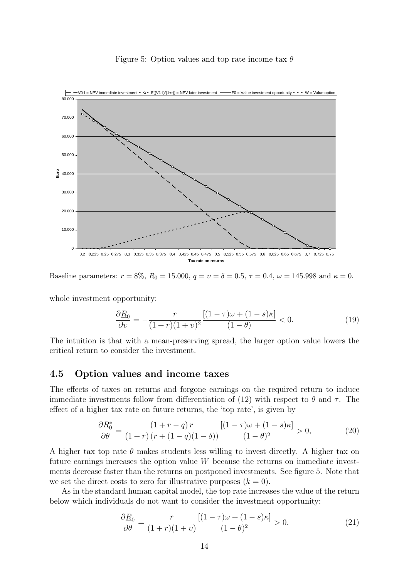#### Figure 5: Option values and top rate income tax  $\theta$



Baseline parameters:  $r = 8\%, R_0 = 15.000, q = v = \delta = 0.5, \tau = 0.4, \omega = 145.998$  and  $\kappa = 0$ .

whole investment opportunity:

$$
\frac{\partial \underline{R}_0}{\partial \nu} = -\frac{r}{(1+r)(1+\nu)^2} \frac{[(1-\tau)\omega + (1-s)\kappa]}{(1-\theta)} < 0. \tag{19}
$$

The intuition is that with a mean-preserving spread, the larger option value lowers the critical return to consider the investment.

### 4.5 Option values and income taxes

The effects of taxes on returns and forgone earnings on the required return to induce immediate investments follow from differentiation of (12) with respect to  $\theta$  and  $\tau$ . The effect of a higher tax rate on future returns, the 'top rate', is given by

$$
\frac{\partial R_0^*}{\partial \theta} = \frac{(1+r-q)r}{(1+r)(r+(1-q)(1-\delta))} \frac{[(1-\tau)\omega + (1-s)\kappa]}{(1-\theta)^2} > 0,\tag{20}
$$

A higher tax top rate  $\theta$  makes students less willing to invest directly. A higher tax on future earnings increases the option value W because the returns on immediate investments decrease faster than the returns on postponed investments. See figure 5. Note that we set the direct costs to zero for illustrative purposes  $(k = 0)$ .

As in the standard human capital model, the top rate increases the value of the return below which individuals do not want to consider the investment opportunity:

$$
\frac{\partial \underline{R}_0}{\partial \theta} = \frac{r}{(1+r)(1+v)} \frac{\left[ (1-\tau)\omega + (1-s)\kappa \right]}{(1-\theta)^2} > 0. \tag{21}
$$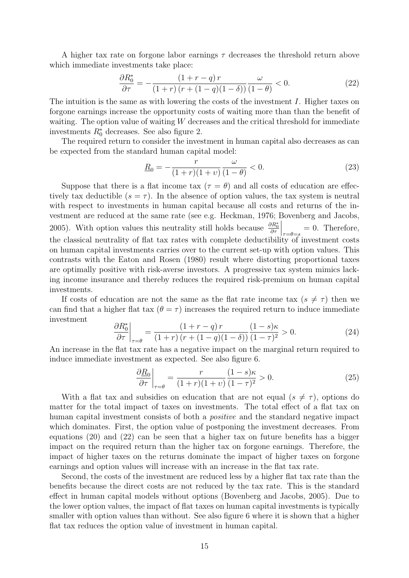A higher tax rate on forgone labor earnings  $\tau$  decreases the threshold return above which immediate investments take place:

$$
\frac{\partial R_0^*}{\partial \tau} = -\frac{(1+r-q)r}{(1+r)(r+(1-q)(1-\delta))} \frac{\omega}{(1-\theta)} < 0. \tag{22}
$$

The intuition is the same as with lowering the costs of the investment I. Higher taxes on forgone earnings increase the opportunity costs of waiting more than than the benefit of waiting. The option value of waiting  $W$  decreases and the critical threshold for immediate investments  $R_0^*$  decreases. See also figure 2.

The required return to consider the investment in human capital also decreases as can be expected from the standard human capital model:

$$
\underline{R}_0 = -\frac{r}{(1+r)(1+v)} \frac{\omega}{(1-\theta)} < 0. \tag{23}
$$

Suppose that there is a flat income tax ( $\tau = \theta$ ) and all costs of education are effectively tax deductible  $(s = \tau)$ . In the absence of option values, the tax system is neutral with respect to investments in human capital because all costs and returns of the investment are reduced at the same rate (see e.g. Heckman, 1976; Bovenberg and Jacobs, 2005). With option values this neutrality still holds because  $\frac{\partial R_0^*}{\partial \tau}$  $\Big|_{\tau=\theta=s} = 0.$  Therefore, the classical neutrality of flat tax rates with complete deductibility of investment costs on human capital investments carries over to the current set-up with option values. This contrasts with the Eaton and Rosen (1980) result where distorting proportional taxes are optimally positive with risk-averse investors. A progressive tax system mimics lacking income insurance and thereby reduces the required risk-premium on human capital investments.

If costs of education are not the same as the flat rate income tax  $(s \neq \tau)$  then we can find that a higher flat tax  $(\theta = \tau)$  increases the required return to induce immediate investment

$$
\left. \frac{\partial R_0^*}{\partial \tau} \right|_{\tau=\theta} = \frac{\left(1+r-q\right)r}{\left(1+r\right)\left(r+\left(1-q\right)\left(1-\delta\right)\right)} \frac{\left(1-s\right)\kappa}{\left(1-\tau\right)^2} > 0. \tag{24}
$$

An increase in the flat tax rate has a negative impact on the marginal return required to induce immediate investment as expected. See also figure 6.

$$
\left. \frac{\partial \underline{R}_0}{\partial \tau} \right|_{\tau=\theta} = \frac{r}{(1+r)(1+v)} \frac{(1-s)\kappa}{(1-\tau)^2} > 0. \tag{25}
$$

With a flat tax and subsidies on education that are not equal  $(s \neq \tau)$ , options do matter for the total impact of taxes on investments. The total effect of a flat tax on human capital investment consists of both a *positive* and the standard negative impact which dominates. First, the option value of postponing the investment decreases. From equations (20) and (22) can be seen that a higher tax on future benefits has a bigger impact on the required return than the higher tax on forgone earnings. Therefore, the impact of higher taxes on the returns dominate the impact of higher taxes on forgone earnings and option values will increase with an increase in the flat tax rate.

Second, the costs of the investment are reduced less by a higher flat tax rate than the benefits because the direct costs are not reduced by the tax rate. This is the standard effect in human capital models without options (Bovenberg and Jacobs, 2005). Due to the lower option values, the impact of flat taxes on human capital investments is typically smaller with option values than without. See also figure 6 where it is shown that a higher flat tax reduces the option value of investment in human capital.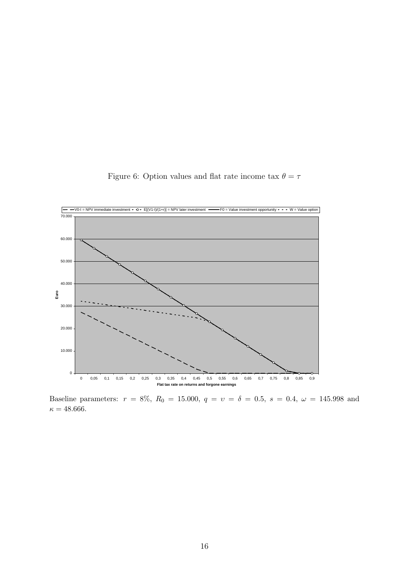

Figure 6: Option values and flat rate income tax  $\theta=\tau$ 

Baseline parameters:  $r = 8\%, R_0 = 15.000, q = v = \delta = 0.5, s = 0.4, \omega = 145.998$  and  $\kappa = 48.666.$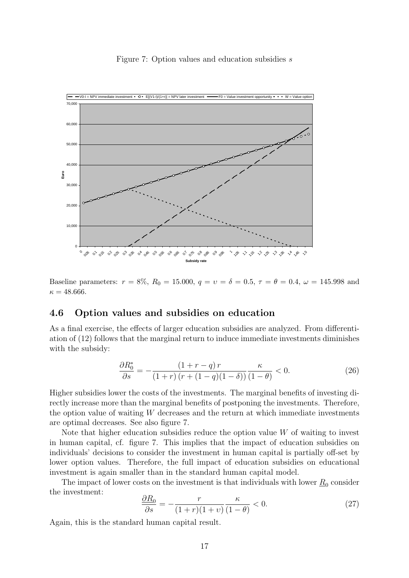#### Figure 7: Option values and education subsidies s



Baseline parameters:  $r = 8\%, R_0 = 15.000, q = v = \delta = 0.5, \tau = \theta = 0.4, \omega = 145.998$  and  $\kappa = 48.666.$ 

## 4.6 Option values and subsidies on education

As a final exercise, the effects of larger education subsidies are analyzed. From differentiation of (12) follows that the marginal return to induce immediate investments diminishes with the subsidy:

$$
\frac{\partial R_0^*}{\partial s} = -\frac{(1+r-q)r}{(1+r)(r+(1-q)(1-\delta))}\frac{\kappa}{(1-\theta)} < 0.
$$
\n(26)

Higher subsidies lower the costs of the investments. The marginal benefits of investing directly increase more than the marginal benefits of postponing the investments. Therefore, the option value of waiting  $W$  decreases and the return at which immediate investments are optimal decreases. See also figure 7.

Note that higher education subsidies reduce the option value  $W$  of waiting to invest in human capital, cf. figure 7. This implies that the impact of education subsidies on individuals' decisions to consider the investment in human capital is partially off-set by lower option values. Therefore, the full impact of education subsidies on educational investment is again smaller than in the standard human capital model.

The impact of lower costs on the investment is that individuals with lower  $\underline{R}_0$  consider the investment:

$$
\frac{\partial R_0}{\partial s} = -\frac{r}{(1+r)(1+v)} \frac{\kappa}{(1-\theta)} < 0. \tag{27}
$$

Again, this is the standard human capital result.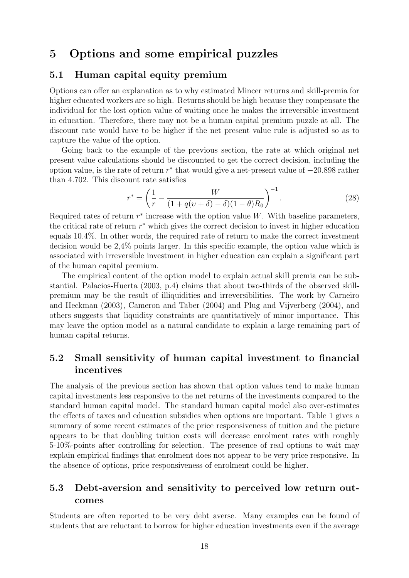# 5 Options and some empirical puzzles

## 5.1 Human capital equity premium

Options can offer an explanation as to why estimated Mincer returns and skill-premia for higher educated workers are so high. Returns should be high because they compensate the individual for the lost option value of waiting once he makes the irreversible investment in education. Therefore, there may not be a human capital premium puzzle at all. The discount rate would have to be higher if the net present value rule is adjusted so as to capture the value of the option.

Going back to the example of the previous section, the rate at which original net present value calculations should be discounted to get the correct decision, including the option value, is the rate of return  $r^*$  that would give a net-present value of  $-20.898$  rather than 4.702. This discount rate satisfies

$$
r^* = \left(\frac{1}{r} - \frac{W}{(1 + q(v + \delta) - \delta)(1 - \theta)R_0}\right)^{-1}.
$$
 (28)

Required rates of return  $r^*$  increase with the option value W. With baseline parameters, the critical rate of return  $r^*$  which gives the correct decision to invest in higher education equals 10.4%. In other words, the required rate of return to make the correct investment decision would be 2,4% points larger. In this specific example, the option value which is associated with irreversible investment in higher education can explain a significant part of the human capital premium.

The empirical content of the option model to explain actual skill premia can be substantial. Palacios-Huerta (2003, p.4) claims that about two-thirds of the observed skillpremium may be the result of illiquidities and irreversibilities. The work by Carneiro and Heckman (2003), Cameron and Taber (2004) and Plug and Vijverberg (2004), and others suggests that liquidity constraints are quantitatively of minor importance. This may leave the option model as a natural candidate to explain a large remaining part of human capital returns.

## 5.2 Small sensitivity of human capital investment to financial incentives

The analysis of the previous section has shown that option values tend to make human capital investments less responsive to the net returns of the investments compared to the standard human capital model. The standard human capital model also over-estimates the effects of taxes and education subsidies when options are important. Table 1 gives a summary of some recent estimates of the price responsiveness of tuition and the picture appears to be that doubling tuition costs will decrease enrolment rates with roughly 5-10%-points after controlling for selection. The presence of real options to wait may explain empirical findings that enrolment does not appear to be very price responsive. In the absence of options, price responsiveness of enrolment could be higher.

## 5.3 Debt-aversion and sensitivity to perceived low return outcomes

Students are often reported to be very debt averse. Many examples can be found of students that are reluctant to borrow for higher education investments even if the average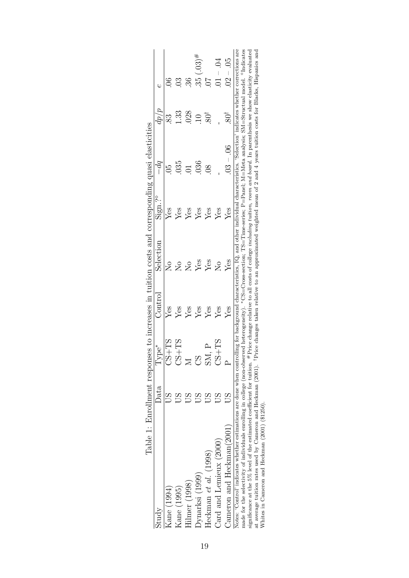|                                                                                                                                                                                                                                                                                                                                                                                                                                                                                                                                                                                                                                                                                                                                                                                                                                                                              |      |                   |         | Table 1: Enrollment responses to increases in tuition costs and corresponding quasi elasticities |        |           |           |              |
|------------------------------------------------------------------------------------------------------------------------------------------------------------------------------------------------------------------------------------------------------------------------------------------------------------------------------------------------------------------------------------------------------------------------------------------------------------------------------------------------------------------------------------------------------------------------------------------------------------------------------------------------------------------------------------------------------------------------------------------------------------------------------------------------------------------------------------------------------------------------------|------|-------------------|---------|--------------------------------------------------------------------------------------------------|--------|-----------|-----------|--------------|
| study                                                                                                                                                                                                                                                                                                                                                                                                                                                                                                                                                                                                                                                                                                                                                                                                                                                                        | Data | Type <sup>*</sup> | Contro! | Selection                                                                                        | Sign.? | $-dq$     | $d\rho/p$ |              |
| Aane (1994)                                                                                                                                                                                                                                                                                                                                                                                                                                                                                                                                                                                                                                                                                                                                                                                                                                                                  |      | $CST+2C$          | Yes     | $\stackrel{\circ}{\simeq}$                                                                       | Yes    | 50        |           |              |
| Kane (1995)                                                                                                                                                                                                                                                                                                                                                                                                                                                                                                                                                                                                                                                                                                                                                                                                                                                                  |      | $C1+TS$           | Yes     | $\stackrel{\circ}{\simeq}$                                                                       | Yes    | 035       | .33       |              |
| $\dim$ er (1998)                                                                                                                                                                                                                                                                                                                                                                                                                                                                                                                                                                                                                                                                                                                                                                                                                                                             |      |                   | Yes     | $\mathop{\mathcal{C}}$                                                                           | Yes    |           | 028       |              |
| )ynarksi (1999)                                                                                                                                                                                                                                                                                                                                                                                                                                                                                                                                                                                                                                                                                                                                                                                                                                                              |      | 8)                | Yes     | Yes                                                                                              | Yes    | 036       |           | $35(.03)$ #  |
| Heckman $et$ $al.$ $(198)$                                                                                                                                                                                                                                                                                                                                                                                                                                                                                                                                                                                                                                                                                                                                                                                                                                                   |      | ZК                | Yes     | Yes                                                                                              | Yes    | 80        |           |              |
| Card and Lemieux $(2000)$                                                                                                                                                                                                                                                                                                                                                                                                                                                                                                                                                                                                                                                                                                                                                                                                                                                    |      | $CS+TS$           | Yes     | $\overline{\Sigma}$                                                                              | Yes    |           |           | $10. - 04$   |
| Cameron and Heckman $(2001)$                                                                                                                                                                                                                                                                                                                                                                                                                                                                                                                                                                                                                                                                                                                                                                                                                                                 |      |                   | Yes     | Yes                                                                                              | Yes    | $03 - 06$ |           | ĞÖ.<br>$02-$ |
| Notes: 'Control' indicates whether estimations are done when controlling for background characteristics, IQ, and other individual characteristics. 'Selection' indicates whether corrections are<br>made for the selectivity of individuals enrolling in college (non-observed heterogeneity). *CS=Cross-section; TS=Time-series; P=Panel; M=Meta analysis; SM=Structual model. <sup>9</sup> Indicates<br>at average tuition rates used by Cameron and Heckman (2001). <sup>†</sup> Price changes taken relative to an approximated weighted mean of 2 and 4 years tuition costs for Blacks, Hispanics and<br>significance at the 5% level of the estimated coefficient for tuition. #Price change relative to all costs of college <i>including tuition</i> , room and board. In parenthesis we show elasticity evaluated<br>Whites in Cameron and Heckman (2001) (\$1250). |      |                   |         |                                                                                                  |        |           |           |              |
|                                                                                                                                                                                                                                                                                                                                                                                                                                                                                                                                                                                                                                                                                                                                                                                                                                                                              |      |                   |         |                                                                                                  |        |           |           |              |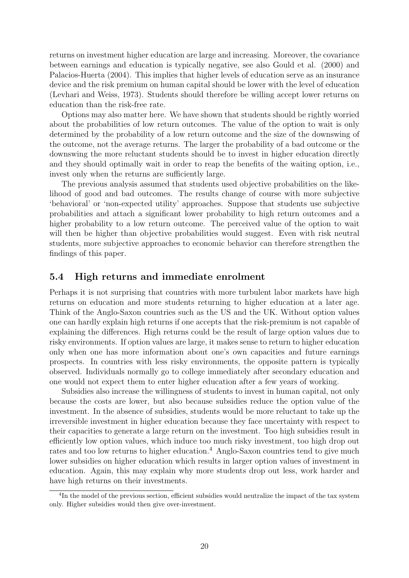returns on investment higher education are large and increasing. Moreover, the covariance between earnings and education is typically negative, see also Gould et al. (2000) and Palacios-Huerta (2004). This implies that higher levels of education serve as an insurance device and the risk premium on human capital should be lower with the level of education (Levhari and Weiss, 1973). Students should therefore be willing accept lower returns on education than the risk-free rate.

Options may also matter here. We have shown that students should be rightly worried about the probabilities of low return outcomes. The value of the option to wait is only determined by the probability of a low return outcome and the size of the downswing of the outcome, not the average returns. The larger the probability of a bad outcome or the downswing the more reluctant students should be to invest in higher education directly and they should optimally wait in order to reap the benefits of the waiting option, i.e., invest only when the returns are sufficiently large.

The previous analysis assumed that students used objective probabilities on the likelihood of good and bad outcomes. The results change of course with more subjective 'behavioral' or 'non-expected utility' approaches. Suppose that students use subjective probabilities and attach a significant lower probability to high return outcomes and a higher probability to a low return outcome. The perceived value of the option to wait will then be higher than objective probabilities would suggest. Even with risk neutral students, more subjective approaches to economic behavior can therefore strengthen the findings of this paper.

## 5.4 High returns and immediate enrolment

Perhaps it is not surprising that countries with more turbulent labor markets have high returns on education and more students returning to higher education at a later age. Think of the Anglo-Saxon countries such as the US and the UK. Without option values one can hardly explain high returns if one accepts that the risk-premium is not capable of explaining the differences. High returns could be the result of large option values due to risky environments. If option values are large, it makes sense to return to higher education only when one has more information about one's own capacities and future earnings prospects. In countries with less risky environments, the opposite pattern is typically observed. Individuals normally go to college immediately after secondary education and one would not expect them to enter higher education after a few years of working.

Subsidies also increase the willingness of students to invest in human capital, not only because the costs are lower, but also because subsidies reduce the option value of the investment. In the absence of subsidies, students would be more reluctant to take up the irreversible investment in higher education because they face uncertainty with respect to their capacities to generate a large return on the investment. Too high subsidies result in efficiently low option values, which induce too much risky investment, too high drop out rates and too low returns to higher education.<sup>4</sup> Anglo-Saxon countries tend to give much lower subsidies on higher education which results in larger option values of investment in education. Again, this may explain why more students drop out less, work harder and have high returns on their investments.

<sup>&</sup>lt;sup>4</sup>In the model of the previous section, efficient subsidies would neutralize the impact of the tax system only. Higher subsidies would then give over-investment.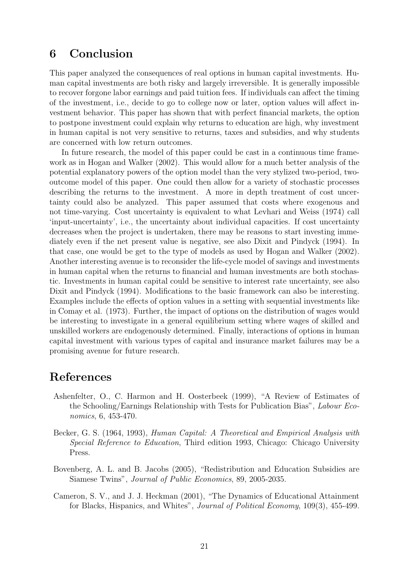# 6 Conclusion

This paper analyzed the consequences of real options in human capital investments. Human capital investments are both risky and largely irreversible. It is generally impossible to recover forgone labor earnings and paid tuition fees. If individuals can affect the timing of the investment, i.e., decide to go to college now or later, option values will affect investment behavior. This paper has shown that with perfect financial markets, the option to postpone investment could explain why returns to education are high, why investment in human capital is not very sensitive to returns, taxes and subsidies, and why students are concerned with low return outcomes.

In future research, the model of this paper could be cast in a continuous time framework as in Hogan and Walker (2002). This would allow for a much better analysis of the potential explanatory powers of the option model than the very stylized two-period, twooutcome model of this paper. One could then allow for a variety of stochastic processes describing the returns to the investment. A more in depth treatment of cost uncertainty could also be analyzed. This paper assumed that costs where exogenous and not time-varying. Cost uncertainty is equivalent to what Levhari and Weiss (1974) call 'input-uncertainty', i.e., the uncertainty about individual capacities. If cost uncertainty decreases when the project is undertaken, there may be reasons to start investing immediately even if the net present value is negative, see also Dixit and Pindyck (1994). In that case, one would be get to the type of models as used by Hogan and Walker (2002). Another interesting avenue is to reconsider the life-cycle model of savings and investments in human capital when the returns to financial and human investments are both stochastic. Investments in human capital could be sensitive to interest rate uncertainty, see also Dixit and Pindyck (1994). Modifications to the basic framework can also be interesting. Examples include the effects of option values in a setting with sequential investments like in Comay et al. (1973). Further, the impact of options on the distribution of wages would be interesting to investigate in a general equilibrium setting where wages of skilled and unskilled workers are endogenously determined. Finally, interactions of options in human capital investment with various types of capital and insurance market failures may be a promising avenue for future research.

# References

- Ashenfelter, O., C. Harmon and H. Oosterbeek (1999), "A Review of Estimates of the Schooling/Earnings Relationship with Tests for Publication Bias", Labour Economics, 6, 453-470.
- Becker, G. S. (1964, 1993), Human Capital: A Theoretical and Empirical Analysis with Special Reference to Education, Third edition 1993, Chicago: Chicago University Press.
- Bovenberg, A. L. and B. Jacobs (2005), "Redistribution and Education Subsidies are Siamese Twins", Journal of Public Economics, 89, 2005-2035.
- Cameron, S. V., and J. J. Heckman (2001), "The Dynamics of Educational Attainment for Blacks, Hispanics, and Whites", Journal of Political Economy, 109(3), 455-499.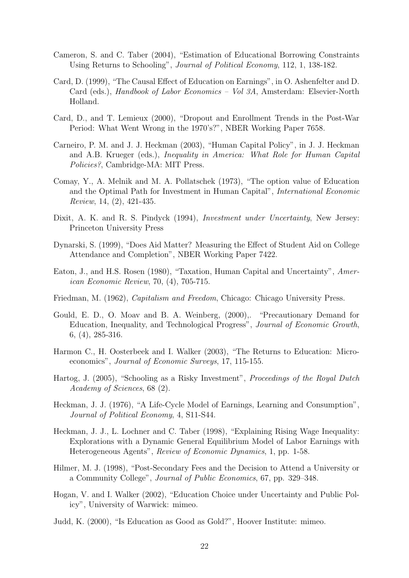- Cameron, S. and C. Taber (2004), "Estimation of Educational Borrowing Constraints Using Returns to Schooling", Journal of Political Economy, 112, 1, 138-182.
- Card, D. (1999), "The Causal Effect of Education on Earnings", in O. Ashenfelter and D. Card (eds.), Handbook of Labor Economics – Vol 3A, Amsterdam: Elsevier-North Holland.
- Card, D., and T. Lemieux (2000), "Dropout and Enrollment Trends in the Post-War Period: What Went Wrong in the 1970's?", NBER Working Paper 7658.
- Carneiro, P. M. and J. J. Heckman (2003), "Human Capital Policy", in J. J. Heckman and A.B. Krueger (eds.), Inequality in America: What Role for Human Capital Policies?, Cambridge-MA: MIT Press.
- Comay, Y., A. Melnik and M. A. Pollatschek (1973), "The option value of Education and the Optimal Path for Investment in Human Capital", International Economic Review, 14, (2), 421-435.
- Dixit, A. K. and R. S. Pindyck (1994), *Investment under Uncertainty*, New Jersey: Princeton University Press
- Dynarski, S. (1999), "Does Aid Matter? Measuring the Effect of Student Aid on College Attendance and Completion", NBER Working Paper 7422.
- Eaton, J., and H.S. Rosen (1980), "Taxation, Human Capital and Uncertainty", American Economic Review, 70, (4), 705-715.
- Friedman, M. (1962), Capitalism and Freedom, Chicago: Chicago University Press.
- Gould, E. D., O. Moav and B. A. Weinberg, (2000),. "Precautionary Demand for Education, Inequality, and Technological Progress", Journal of Economic Growth, 6, (4), 285-316.
- Harmon C., H. Oosterbeek and I. Walker (2003), "The Returns to Education: Microeconomics", Journal of Economic Surveys, 17, 115-155.
- Hartog, J. (2005), "Schooling as a Risky Investment", Proceedings of the Royal Dutch Academy of Sciences, 68 (2).
- Heckman, J. J. (1976), "A Life-Cycle Model of Earnings, Learning and Consumption", Journal of Political Economy, 4, S11-S44.
- Heckman, J. J., L. Lochner and C. Taber (1998), "Explaining Rising Wage Inequality: Explorations with a Dynamic General Equilibrium Model of Labor Earnings with Heterogeneous Agents", Review of Economic Dynamics, 1, pp. 1-58.
- Hilmer, M. J. (1998), "Post-Secondary Fees and the Decision to Attend a University or a Community College", Journal of Public Economics, 67, pp. 329–348.
- Hogan, V. and I. Walker (2002), "Education Choice under Uncertainty and Public Policy", University of Warwick: mimeo.
- Judd, K. (2000), "Is Education as Good as Gold?", Hoover Institute: mimeo.